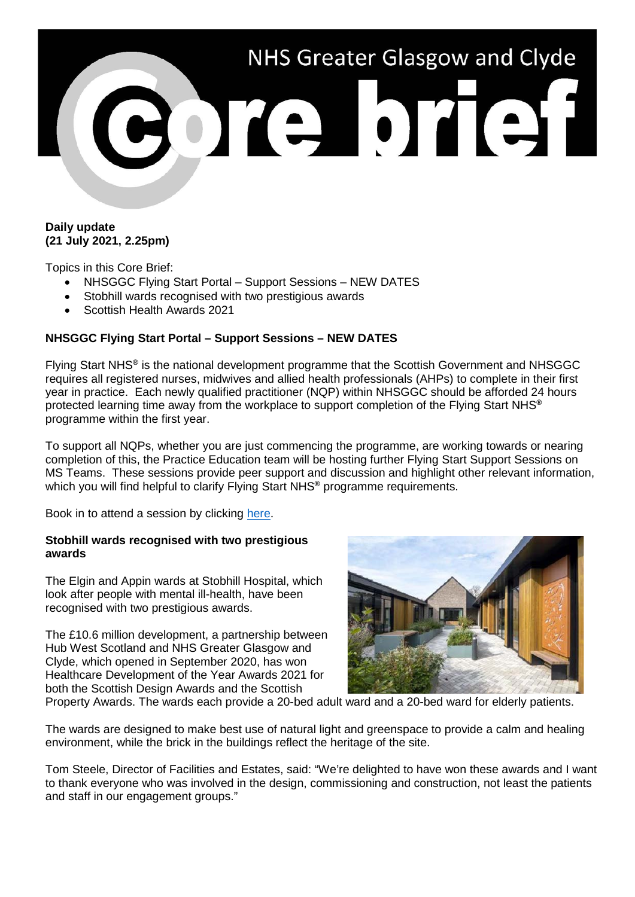

## **Daily update (21 July 2021, 2.25pm)**

Topics in this Core Brief:

- NHSGGC Flying Start Portal Support Sessions NEW DATES
- Stobhill wards recognised with two prestigious awards
- Scottish Health Awards 2021

## **NHSGGC Flying Start Portal – Support Sessions – NEW DATES**

Flying Start NHS**®** is the national development programme that the Scottish Government and NHSGGC requires all registered nurses, midwives and allied health professionals (AHPs) to complete in their first year in practice. Each newly qualified practitioner (NQP) within NHSGGC should be afforded 24 hours protected learning time away from the workplace to support completion of the Flying Start NHS**®** programme within the first year.

To support all NQPs, whether you are just commencing the programme, are working towards or nearing completion of this, the Practice Education team will be hosting further Flying Start Support Sessions on MS Teams. These sessions provide peer support and discussion and highlight other relevant information, which you will find helpful to clarify Flying Start NHS<sup>®</sup> programme requirements.

Book in to attend a session by clicking [here.](https://www.nhsggc.org.uk/about-us/professional-support-sites/nurses-midwives/education-and-professional-development/practice-education/flyingstartportal/flyingstartsupportsessions/)

## **Stobhill wards recognised with two prestigious awards**

The Elgin and Appin wards at Stobhill Hospital, which look after people with mental ill-health, have been recognised with two prestigious awards.

The £10.6 million development, a partnership between Hub West Scotland and NHS Greater Glasgow and Clyde, which opened in September 2020, has won Healthcare Development of the Year Awards 2021 for both the Scottish Design Awards and the Scottish



Property Awards. The wards each provide a 20-bed adult ward and a 20-bed ward for elderly patients.

The wards are designed to make best use of natural light and greenspace to provide a calm and healing environment, while the brick in the buildings reflect the heritage of the site.

Tom Steele, Director of Facilities and Estates, said: "We're delighted to have won these awards and I want to thank everyone who was involved in the design, commissioning and construction, not least the patients and staff in our engagement groups."